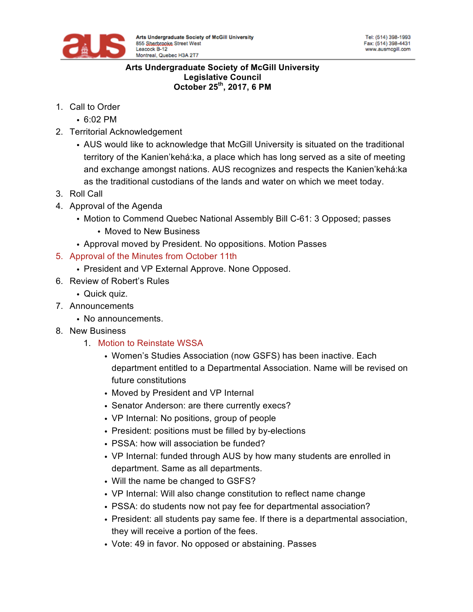

## **Arts Undergraduate Society of McGill University Legislative Council October 25th, 2017, 6 PM**

- 1. Call to Order
	- 6:02 PM
- 2. Territorial Acknowledgement
	- AUS would like to acknowledge that McGill University is situated on the traditional territory of the Kanien'kehá:ka, a place which has long served as a site of meeting and exchange amongst nations. AUS recognizes and respects the Kanien'kehá:ka as the traditional custodians of the lands and water on which we meet today.
- 3. Roll Call
- 4. Approval of the Agenda
	- Motion to Commend Quebec National Assembly Bill C-61: 3 Opposed; passes
		- Moved to New Business
	- Approval moved by President. No oppositions. Motion Passes
- 5. Approval of the Minutes from October 11th
	- President and VP External Approve. None Opposed.
- 6. Review of Robert's Rules
	- Quick quiz.
- 7. Announcements
	- No announcements.
- 8. New Business
	- 1. Motion to Reinstate WSSA
		- Women's Studies Association (now GSFS) has been inactive. Each department entitled to a Departmental Association. Name will be revised on future constitutions
		- Moved by President and VP Internal
		- Senator Anderson: are there currently execs?
		- VP Internal: No positions, group of people
		- President: positions must be filled by by-elections
		- PSSA: how will association be funded?
		- VP Internal: funded through AUS by how many students are enrolled in department. Same as all departments.
		- Will the name be changed to GSFS?
		- VP Internal: Will also change constitution to reflect name change
		- PSSA: do students now not pay fee for departmental association?
		- President: all students pay same fee. If there is a departmental association, they will receive a portion of the fees.
		- Vote: 49 in favor. No opposed or abstaining. Passes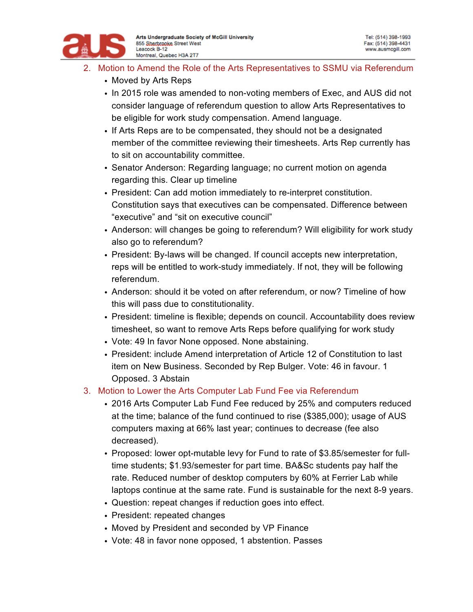

- 2. Motion to Amend the Role of the Arts Representatives to SSMU via Referendum
	- Moved by Arts Reps
	- In 2015 role was amended to non-voting members of Exec, and AUS did not consider language of referendum question to allow Arts Representatives to be eligible for work study compensation. Amend language.
	- If Arts Reps are to be compensated, they should not be a designated member of the committee reviewing their timesheets. Arts Rep currently has to sit on accountability committee.
	- Senator Anderson: Regarding language; no current motion on agenda regarding this. Clear up timeline
	- President: Can add motion immediately to re-interpret constitution. Constitution says that executives can be compensated. Difference between "executive" and "sit on executive council"
	- Anderson: will changes be going to referendum? Will eligibility for work study also go to referendum?
	- President: By-laws will be changed. If council accepts new interpretation, reps will be entitled to work-study immediately. If not, they will be following referendum.
	- Anderson: should it be voted on after referendum, or now? Timeline of how this will pass due to constitutionality.
	- President: timeline is flexible; depends on council. Accountability does review timesheet, so want to remove Arts Reps before qualifying for work study
	- Vote: 49 In favor None opposed. None abstaining.
	- President: include Amend interpretation of Article 12 of Constitution to last item on New Business. Seconded by Rep Bulger. Vote: 46 in favour. 1 Opposed. 3 Abstain
- 3. Motion to Lower the Arts Computer Lab Fund Fee via Referendum
	- 2016 Arts Computer Lab Fund Fee reduced by 25% and computers reduced at the time; balance of the fund continued to rise (\$385,000); usage of AUS computers maxing at 66% last year; continues to decrease (fee also decreased).
	- Proposed: lower opt-mutable levy for Fund to rate of \$3.85/semester for fulltime students; \$1.93/semester for part time. BA&Sc students pay half the rate. Reduced number of desktop computers by 60% at Ferrier Lab while laptops continue at the same rate. Fund is sustainable for the next 8-9 years.
	- Question: repeat changes if reduction goes into effect.
	- President: repeated changes
	- Moved by President and seconded by VP Finance
	- Vote: 48 in favor none opposed, 1 abstention. Passes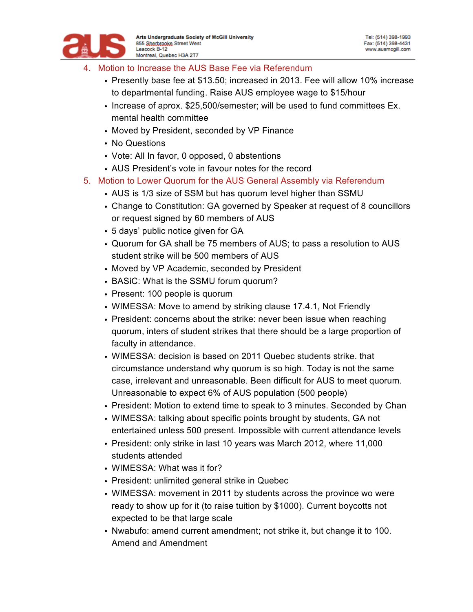

- 4. Motion to Increase the AUS Base Fee via Referendum
	- Presently base fee at \$13.50; increased in 2013. Fee will allow 10% increase to departmental funding. Raise AUS employee wage to \$15/hour
	- Increase of aprox. \$25,500/semester; will be used to fund committees Ex. mental health committee
	- Moved by President, seconded by VP Finance
	- No Questions
	- Vote: All In favor, 0 opposed, 0 abstentions
	- AUS President's vote in favour notes for the record
- 5. Motion to Lower Quorum for the AUS General Assembly via Referendum
	- AUS is 1/3 size of SSM but has quorum level higher than SSMU
	- Change to Constitution: GA governed by Speaker at request of 8 councillors or request signed by 60 members of AUS
	- 5 days' public notice given for GA
	- Quorum for GA shall be 75 members of AUS; to pass a resolution to AUS student strike will be 500 members of AUS
	- Moved by VP Academic, seconded by President
	- BASiC: What is the SSMU forum quorum?
	- Present: 100 people is quorum
	- WIMESSA: Move to amend by striking clause 17.4.1, Not Friendly
	- President: concerns about the strike: never been issue when reaching quorum, inters of student strikes that there should be a large proportion of faculty in attendance.
	- WIMESSA: decision is based on 2011 Quebec students strike. that circumstance understand why quorum is so high. Today is not the same case, irrelevant and unreasonable. Been difficult for AUS to meet quorum. Unreasonable to expect 6% of AUS population (500 people)
	- President: Motion to extend time to speak to 3 minutes. Seconded by Chan
	- WIMESSA: talking about specific points brought by students, GA not entertained unless 500 present. Impossible with current attendance levels
	- President: only strike in last 10 years was March 2012, where 11,000 students attended
	- WIMESSA: What was it for?
	- President: unlimited general strike in Quebec
	- WIMESSA: movement in 2011 by students across the province wo were ready to show up for it (to raise tuition by \$1000). Current boycotts not expected to be that large scale
	- Nwabufo: amend current amendment; not strike it, but change it to 100. Amend and Amendment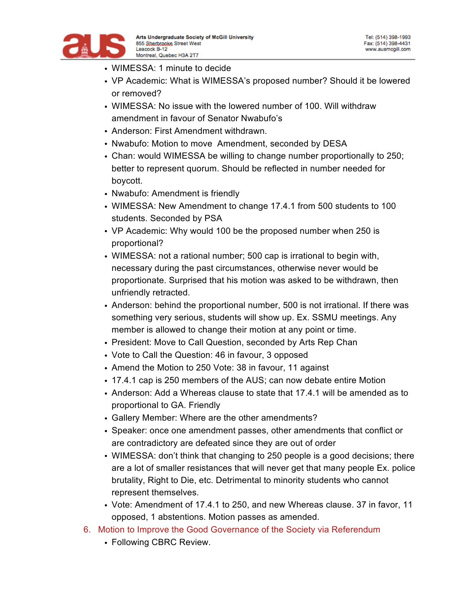

- WIMESSA: 1 minute to decide
- VP Academic: What is WIMESSA's proposed number? Should it be lowered or removed?
- WIMESSA: No issue with the lowered number of 100. Will withdraw amendment in favour of Senator Nwabufo's
- Anderson: First Amendment withdrawn.
- Nwabufo: Motion to move Amendment, seconded by DESA
- Chan: would WIMESSA be willing to change number proportionally to 250; better to represent quorum. Should be reflected in number needed for boycott.
- Nwabufo: Amendment is friendly
- WIMESSA: New Amendment to change 17.4.1 from 500 students to 100 students. Seconded by PSA
- VP Academic: Why would 100 be the proposed number when 250 is proportional?
- WIMESSA: not a rational number; 500 cap is irrational to begin with, necessary during the past circumstances, otherwise never would be proportionate. Surprised that his motion was asked to be withdrawn, then unfriendly retracted.
- Anderson: behind the proportional number, 500 is not irrational. If there was something very serious, students will show up. Ex. SSMU meetings. Any member is allowed to change their motion at any point or time.
- President: Move to Call Question, seconded by Arts Rep Chan
- Vote to Call the Question: 46 in favour, 3 opposed
- Amend the Motion to 250 Vote: 38 in favour, 11 against
- 17.4.1 cap is 250 members of the AUS; can now debate entire Motion
- Anderson: Add a Whereas clause to state that 17.4.1 will be amended as to proportional to GA. Friendly
- Gallery Member: Where are the other amendments?
- Speaker: once one amendment passes, other amendments that conflict or are contradictory are defeated since they are out of order
- WIMESSA: don't think that changing to 250 people is a good decisions; there are a lot of smaller resistances that will never get that many people Ex. police brutality, Right to Die, etc. Detrimental to minority students who cannot represent themselves.
- Vote: Amendment of 17.4.1 to 250, and new Whereas clause. 37 in favor, 11 opposed, 1 abstentions. Motion passes as amended.
- 6. Motion to Improve the Good Governance of the Society via Referendum
	- Following CBRC Review.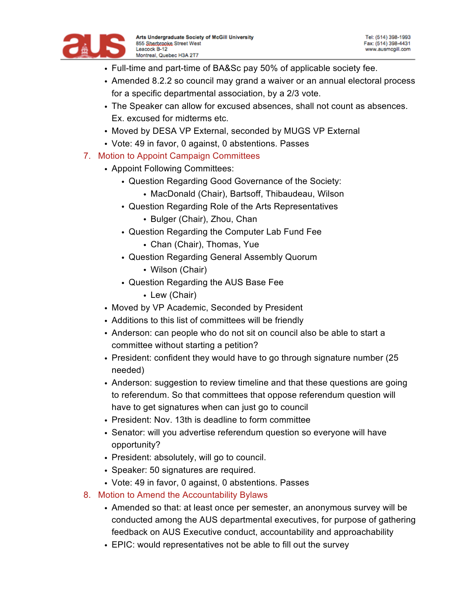

- Full-time and part-time of BA&Sc pay 50% of applicable society fee.
- Amended 8.2.2 so council may grand a waiver or an annual electoral process for a specific departmental association, by a 2/3 vote.
- The Speaker can allow for excused absences, shall not count as absences. Ex. excused for midterms etc.
- Moved by DESA VP External, seconded by MUGS VP External
- Vote: 49 in favor, 0 against, 0 abstentions. Passes
- 7. Motion to Appoint Campaign Committees
	- Appoint Following Committees:
		- Question Regarding Good Governance of the Society:
			- MacDonald (Chair), Bartsoff, Thibaudeau, Wilson
		- Question Regarding Role of the Arts Representatives
			- Bulger (Chair), Zhou, Chan
		- Question Regarding the Computer Lab Fund Fee
			- Chan (Chair), Thomas, Yue
		- Question Regarding General Assembly Quorum
			- Wilson (Chair)
		- Question Regarding the AUS Base Fee
			- Lew (Chair)
	- Moved by VP Academic, Seconded by President
	- Additions to this list of committees will be friendly
	- Anderson: can people who do not sit on council also be able to start a committee without starting a petition?
	- President: confident they would have to go through signature number (25 needed)
	- Anderson: suggestion to review timeline and that these questions are going to referendum. So that committees that oppose referendum question will have to get signatures when can just go to council
	- President: Nov. 13th is deadline to form committee
	- Senator: will you advertise referendum question so everyone will have opportunity?
	- President: absolutely, will go to council.
	- Speaker: 50 signatures are required.
	- Vote: 49 in favor, 0 against, 0 abstentions. Passes
- 8. Motion to Amend the Accountability Bylaws
	- Amended so that: at least once per semester, an anonymous survey will be conducted among the AUS departmental executives, for purpose of gathering feedback on AUS Executive conduct, accountability and approachability
	- EPIC: would representatives not be able to fill out the survey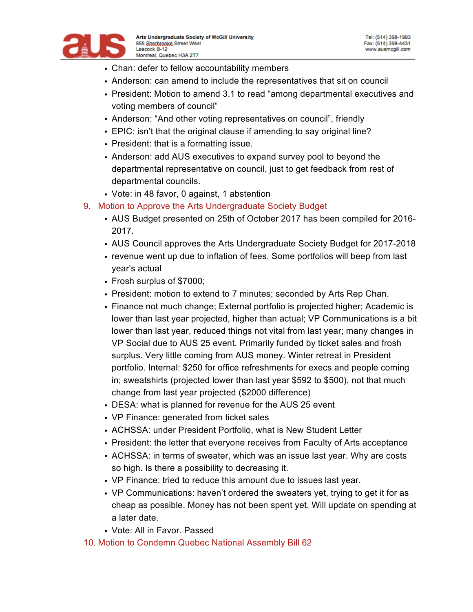

- Chan: defer to fellow accountability members
- Anderson: can amend to include the representatives that sit on council
- President: Motion to amend 3.1 to read "among departmental executives and voting members of council"
- Anderson: "And other voting representatives on council", friendly
- EPIC: isn't that the original clause if amending to say original line?
- President: that is a formatting issue.
- Anderson: add AUS executives to expand survey pool to beyond the departmental representative on council, just to get feedback from rest of departmental councils.
- Vote: in 48 favor, 0 against, 1 abstention
- 9. Motion to Approve the Arts Undergraduate Society Budget
	- AUS Budget presented on 25th of October 2017 has been compiled for 2016- 2017.
	- AUS Council approves the Arts Undergraduate Society Budget for 2017-2018
	- revenue went up due to inflation of fees. Some portfolios will beep from last year's actual
	- Frosh surplus of \$7000;
	- President: motion to extend to 7 minutes; seconded by Arts Rep Chan.
	- Finance not much change; External portfolio is projected higher; Academic is lower than last year projected, higher than actual; VP Communications is a bit lower than last year, reduced things not vital from last year; many changes in VP Social due to AUS 25 event. Primarily funded by ticket sales and frosh surplus. Very little coming from AUS money. Winter retreat in President portfolio. Internal: \$250 for office refreshments for execs and people coming in; sweatshirts (projected lower than last year \$592 to \$500), not that much change from last year projected (\$2000 difference)
	- DESA: what is planned for revenue for the AUS 25 event
	- VP Finance: generated from ticket sales
	- ACHSSA: under President Portfolio, what is New Student Letter
	- President: the letter that everyone receives from Faculty of Arts acceptance
	- ACHSSA: in terms of sweater, which was an issue last year. Why are costs so high. Is there a possibility to decreasing it.
	- VP Finance: tried to reduce this amount due to issues last year.
	- VP Communications: haven't ordered the sweaters yet, trying to get it for as cheap as possible. Money has not been spent yet. Will update on spending at a later date.
	- Vote: All in Favor. Passed
- 10. Motion to Condemn Quebec National Assembly Bill 62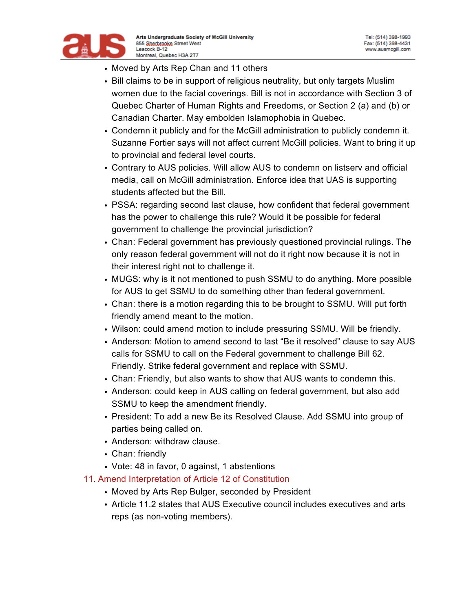

- Moved by Arts Rep Chan and 11 others
- Bill claims to be in support of religious neutrality, but only targets Muslim women due to the facial coverings. Bill is not in accordance with Section 3 of Quebec Charter of Human Rights and Freedoms, or Section 2 (a) and (b) or Canadian Charter. May embolden Islamophobia in Quebec.
- Condemn it publicly and for the McGill administration to publicly condemn it. Suzanne Fortier says will not affect current McGill policies. Want to bring it up to provincial and federal level courts.
- Contrary to AUS policies. Will allow AUS to condemn on listserv and official media, call on McGill administration. Enforce idea that UAS is supporting students affected but the Bill.
- PSSA: regarding second last clause, how confident that federal government has the power to challenge this rule? Would it be possible for federal government to challenge the provincial jurisdiction?
- Chan: Federal government has previously questioned provincial rulings. The only reason federal government will not do it right now because it is not in their interest right not to challenge it.
- MUGS: why is it not mentioned to push SSMU to do anything. More possible for AUS to get SSMU to do something other than federal government.
- Chan: there is a motion regarding this to be brought to SSMU. Will put forth friendly amend meant to the motion.
- Wilson: could amend motion to include pressuring SSMU. Will be friendly.
- Anderson: Motion to amend second to last "Be it resolved" clause to say AUS calls for SSMU to call on the Federal government to challenge Bill 62. Friendly. Strike federal government and replace with SSMU.
- Chan: Friendly, but also wants to show that AUS wants to condemn this.
- Anderson: could keep in AUS calling on federal government, but also add SSMU to keep the amendment friendly.
- President: To add a new Be its Resolved Clause. Add SSMU into group of parties being called on.
- Anderson: withdraw clause.
- Chan: friendly
- Vote: 48 in favor, 0 against, 1 abstentions
- 11. Amend Interpretation of Article 12 of Constitution
	- Moved by Arts Rep Bulger, seconded by President
	- Article 11.2 states that AUS Executive council includes executives and arts reps (as non-voting members).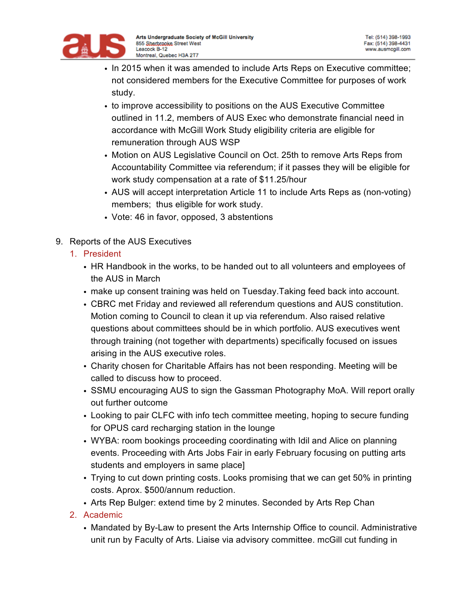

- In 2015 when it was amended to include Arts Reps on Executive committee; not considered members for the Executive Committee for purposes of work study.
- to improve accessibility to positions on the AUS Executive Committee outlined in 11.2, members of AUS Exec who demonstrate financial need in accordance with McGill Work Study eligibility criteria are eligible for remuneration through AUS WSP
- Motion on AUS Legislative Council on Oct. 25th to remove Arts Reps from Accountability Committee via referendum; if it passes they will be eligible for work study compensation at a rate of \$11.25/hour
- AUS will accept interpretation Article 11 to include Arts Reps as (non-voting) members; thus eligible for work study.
- Vote: 46 in favor, opposed, 3 abstentions
- 9. Reports of the AUS Executives
	- 1. President
		- HR Handbook in the works, to be handed out to all volunteers and employees of the AUS in March
		- make up consent training was held on Tuesday.Taking feed back into account.
		- CBRC met Friday and reviewed all referendum questions and AUS constitution. Motion coming to Council to clean it up via referendum. Also raised relative questions about committees should be in which portfolio. AUS executives went through training (not together with departments) specifically focused on issues arising in the AUS executive roles.
		- Charity chosen for Charitable Affairs has not been responding. Meeting will be called to discuss how to proceed.
		- SSMU encouraging AUS to sign the Gassman Photography MoA. Will report orally out further outcome
		- Looking to pair CLFC with info tech committee meeting, hoping to secure funding for OPUS card recharging station in the lounge
		- WYBA: room bookings proceeding coordinating with Idil and Alice on planning events. Proceeding with Arts Jobs Fair in early February focusing on putting arts students and employers in same place]
		- Trying to cut down printing costs. Looks promising that we can get 50% in printing costs. Aprox. \$500/annum reduction.
		- Arts Rep Bulger: extend time by 2 minutes. Seconded by Arts Rep Chan
	- 2. Academic
		- Mandated by By-Law to present the Arts Internship Office to council. Administrative unit run by Faculty of Arts. Liaise via advisory committee. mcGill cut funding in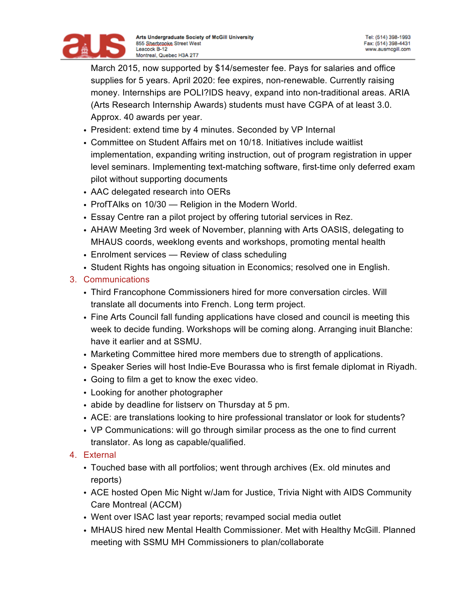

March 2015, now supported by \$14/semester fee. Pays for salaries and office supplies for 5 years. April 2020: fee expires, non-renewable. Currently raising money. Internships are POLI?IDS heavy, expand into non-traditional areas. ARIA (Arts Research Internship Awards) students must have CGPA of at least 3.0. Approx. 40 awards per year.

- President: extend time by 4 minutes. Seconded by VP Internal
- Committee on Student Affairs met on 10/18. Initiatives include waitlist implementation, expanding writing instruction, out of program registration in upper level seminars. Implementing text-matching software, first-time only deferred exam pilot without supporting documents
- AAC delegated research into OERs
- ProfTAlks on 10/30 Religion in the Modern World.
- Essay Centre ran a pilot project by offering tutorial services in Rez.
- AHAW Meeting 3rd week of November, planning with Arts OASIS, delegating to MHAUS coords, weeklong events and workshops, promoting mental health
- Enrolment services Review of class scheduling
- Student Rights has ongoing situation in Economics; resolved one in English.
- 3. Communications
	- Third Francophone Commissioners hired for more conversation circles. Will translate all documents into French. Long term project.
	- Fine Arts Council fall funding applications have closed and council is meeting this week to decide funding. Workshops will be coming along. Arranging inuit Blanche: have it earlier and at SSMU.
	- Marketing Committee hired more members due to strength of applications.
	- Speaker Series will host Indie-Eve Bourassa who is first female diplomat in Riyadh.
	- Going to film a get to know the exec video.
	- Looking for another photographer
	- abide by deadline for listserv on Thursday at 5 pm.
	- ACE: are translations looking to hire professional translator or look for students?
	- VP Communications: will go through similar process as the one to find current translator. As long as capable/qualified.

## 4. External

- Touched base with all portfolios; went through archives (Ex. old minutes and reports)
- ACE hosted Open Mic Night w/Jam for Justice, Trivia Night with AIDS Community Care Montreal (ACCM)
- Went over ISAC last year reports; revamped social media outlet
- MHAUS hired new Mental Health Commissioner. Met with Healthy McGill. Planned meeting with SSMU MH Commissioners to plan/collaborate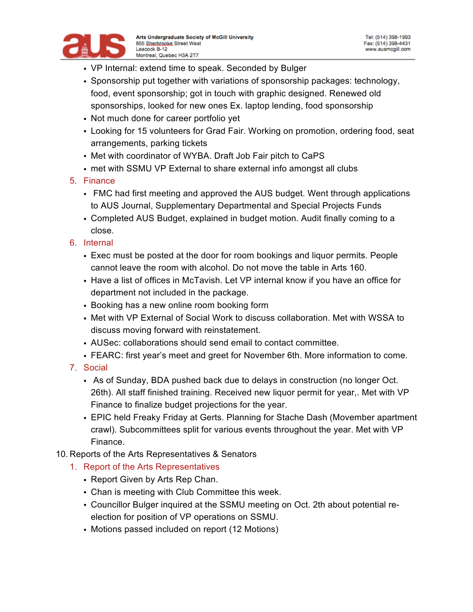

- VP Internal: extend time to speak. Seconded by Bulger
- Sponsorship put together with variations of sponsorship packages: technology, food, event sponsorship; got in touch with graphic designed. Renewed old sponsorships, looked for new ones Ex. laptop lending, food sponsorship
- Not much done for career portfolio yet
- Looking for 15 volunteers for Grad Fair. Working on promotion, ordering food, seat arrangements, parking tickets
- Met with coordinator of WYBA. Draft Job Fair pitch to CaPS
- met with SSMU VP External to share external info amongst all clubs

## 5. Finance

- FMC had first meeting and approved the AUS budget. Went through applications to AUS Journal, Supplementary Departmental and Special Projects Funds
- Completed AUS Budget, explained in budget motion. Audit finally coming to a close.
- 6. Internal
	- Exec must be posted at the door for room bookings and liquor permits. People cannot leave the room with alcohol. Do not move the table in Arts 160.
	- Have a list of offices in McTavish. Let VP internal know if you have an office for department not included in the package.
	- Booking has a new online room booking form
	- Met with VP External of Social Work to discuss collaboration. Met with WSSA to discuss moving forward with reinstatement.
	- AUSec: collaborations should send email to contact committee.
	- FEARC: first year's meet and greet for November 6th. More information to come.
- 7. Social
	- As of Sunday, BDA pushed back due to delays in construction (no longer Oct. 26th). All staff finished training. Received new liquor permit for year,. Met with VP Finance to finalize budget projections for the year.
	- EPIC held Freaky Friday at Gerts. Planning for Stache Dash (Movember apartment crawl). Subcommittees split for various events throughout the year. Met with VP Finance.
- 10. Reports of the Arts Representatives & Senators
	- 1. Report of the Arts Representatives
		- Report Given by Arts Rep Chan.
		- Chan is meeting with Club Committee this week.
		- Councillor Bulger inquired at the SSMU meeting on Oct. 2th about potential reelection for position of VP operations on SSMU.
		- Motions passed included on report (12 Motions)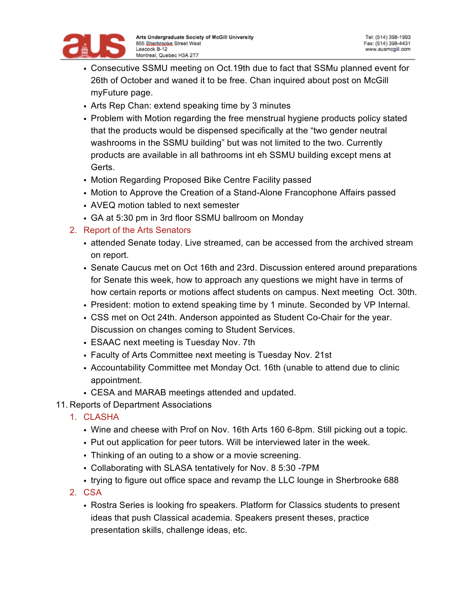

- Consecutive SSMU meeting on Oct.19th due to fact that SSMu planned event for 26th of October and waned it to be free. Chan inquired about post on McGill myFuture page.
- Arts Rep Chan: extend speaking time by 3 minutes
- Problem with Motion regarding the free menstrual hygiene products policy stated that the products would be dispensed specifically at the "two gender neutral washrooms in the SSMU building" but was not limited to the two. Currently products are available in all bathrooms int eh SSMU building except mens at Gerts.
- Motion Regarding Proposed Bike Centre Facility passed
- Motion to Approve the Creation of a Stand-Alone Francophone Affairs passed
- AVEQ motion tabled to next semester
- GA at 5:30 pm in 3rd floor SSMU ballroom on Monday
- 2. Report of the Arts Senators
	- attended Senate today. Live streamed, can be accessed from the archived stream on report.
	- Senate Caucus met on Oct 16th and 23rd. Discussion entered around preparations for Senate this week, how to approach any questions we might have in terms of how certain reports or motions affect students on campus. Next meeting Oct. 30th.
	- President: motion to extend speaking time by 1 minute. Seconded by VP Internal.
	- CSS met on Oct 24th. Anderson appointed as Student Co-Chair for the year. Discussion on changes coming to Student Services.
	- ESAAC next meeting is Tuesday Nov. 7th
	- Faculty of Arts Committee next meeting is Tuesday Nov. 21st
	- Accountability Committee met Monday Oct. 16th (unable to attend due to clinic appointment.
	- CESA and MARAB meetings attended and updated.
- 11. Reports of Department Associations
	- 1. CLASHA
		- Wine and cheese with Prof on Nov. 16th Arts 160 6-8pm. Still picking out a topic.
		- Put out application for peer tutors. Will be interviewed later in the week.
		- Thinking of an outing to a show or a movie screening.
		- Collaborating with SLASA tentatively for Nov. 8 5:30 -7PM
		- trying to figure out office space and revamp the LLC lounge in Sherbrooke 688
	- 2. CSA
		- Rostra Series is looking fro speakers. Platform for Classics students to present ideas that push Classical academia. Speakers present theses, practice presentation skills, challenge ideas, etc.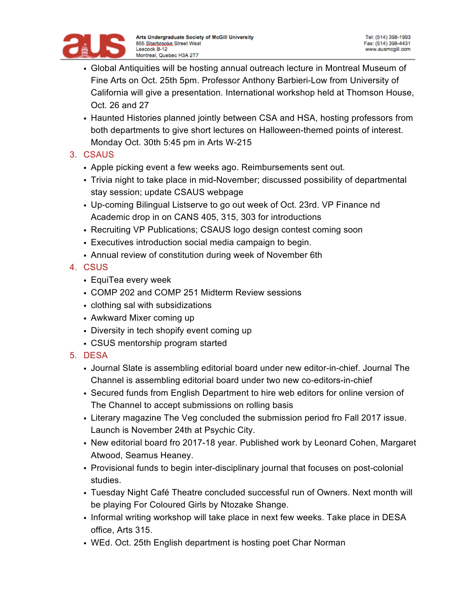

- Global Antiquities will be hosting annual outreach lecture in Montreal Museum of Fine Arts on Oct. 25th 5pm. Professor Anthony Barbieri-Low from University of California will give a presentation. International workshop held at Thomson House, Oct. 26 and 27
- Haunted Histories planned jointly between CSA and HSA, hosting professors from both departments to give short lectures on Halloween-themed points of interest. Monday Oct. 30th 5:45 pm in Arts W-215
- 3. CSAUS
	- Apple picking event a few weeks ago. Reimbursements sent out.
	- Trivia night to take place in mid-November; discussed possibility of departmental stay session; update CSAUS webpage
	- Up-coming Bilingual Listserve to go out week of Oct. 23rd. VP Finance nd Academic drop in on CANS 405, 315, 303 for introductions
	- Recruiting VP Publications; CSAUS logo design contest coming soon
	- Executives introduction social media campaign to begin.
	- Annual review of constitution during week of November 6th
- 4. CSUS
	- EquiTea every week
	- COMP 202 and COMP 251 Midterm Review sessions
	- clothing sal with subsidizations
	- Awkward Mixer coming up
	- Diversity in tech shopify event coming up
	- CSUS mentorship program started
- 5. DESA
	- Journal Slate is assembling editorial board under new editor-in-chief. Journal The Channel is assembling editorial board under two new co-editors-in-chief
	- Secured funds from English Department to hire web editors for online version of The Channel to accept submissions on rolling basis
	- Literary magazine The Veg concluded the submission period fro Fall 2017 issue. Launch is November 24th at Psychic City.
	- New editorial board fro 2017-18 year. Published work by Leonard Cohen, Margaret Atwood, Seamus Heaney.
	- Provisional funds to begin inter-disciplinary journal that focuses on post-colonial studies.
	- Tuesday Night Café Theatre concluded successful run of Owners. Next month will be playing For Coloured Girls by Ntozake Shange.
	- Informal writing workshop will take place in next few weeks. Take place in DESA office, Arts 315.
	- WEd. Oct. 25th English department is hosting poet Char Norman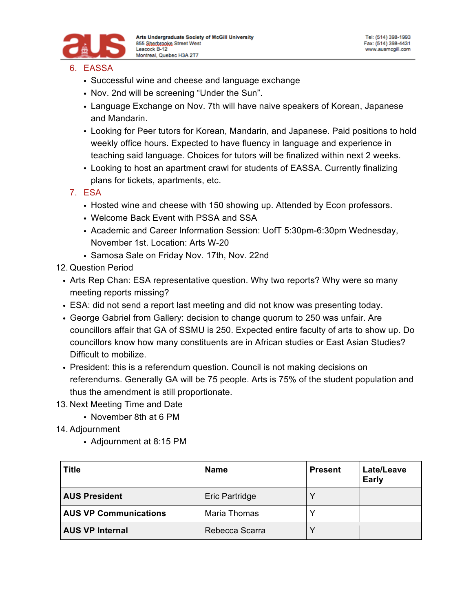

- 6. EASSA
	- Successful wine and cheese and language exchange
	- Nov. 2nd will be screening "Under the Sun".
	- Language Exchange on Nov. 7th will have naive speakers of Korean, Japanese and Mandarin.
	- Looking for Peer tutors for Korean, Mandarin, and Japanese. Paid positions to hold weekly office hours. Expected to have fluency in language and experience in teaching said language. Choices for tutors will be finalized within next 2 weeks.
	- Looking to host an apartment crawl for students of EASSA. Currently finalizing plans for tickets, apartments, etc.
- 7. ESA
	- Hosted wine and cheese with 150 showing up. Attended by Econ professors.
	- Welcome Back Event with PSSA and SSA
	- Academic and Career Information Session: UofT 5:30pm-6:30pm Wednesday, November 1st. Location: Arts W-20
	- Samosa Sale on Friday Nov. 17th, Nov. 22nd
- 12. Question Period
	- Arts Rep Chan: ESA representative question. Why two reports? Why were so many meeting reports missing?
	- ESA: did not send a report last meeting and did not know was presenting today.
	- George Gabriel from Gallery: decision to change quorum to 250 was unfair. Are councillors affair that GA of SSMU is 250. Expected entire faculty of arts to show up. Do councillors know how many constituents are in African studies or East Asian Studies? Difficult to mobilize.
	- President: this is a referendum question. Council is not making decisions on referendums. Generally GA will be 75 people. Arts is 75% of the student population and thus the amendment is still proportionate.
- 13. Next Meeting Time and Date
	- November 8th at 6 PM
- 14. Adjournment
	- Adjournment at 8:15 PM

| <b>Title</b>                 | <b>Name</b>    | <b>Present</b> | Late/Leave<br><b>Early</b> |
|------------------------------|----------------|----------------|----------------------------|
| <b>AUS President</b>         | Eric Partridge | ◡              |                            |
| <b>AUS VP Communications</b> | Maria Thomas   | ◡              |                            |
| <b>AUS VP Internal</b>       | Rebecca Scarra | $\check{ }$    |                            |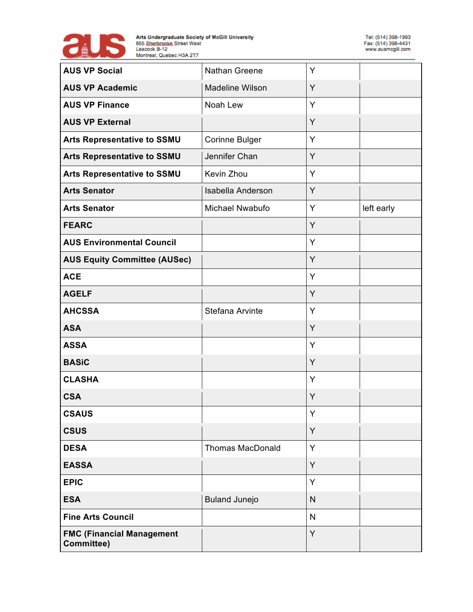

| <b>AUS VP Social</b>                           | Nathan Greene           | Υ            |            |
|------------------------------------------------|-------------------------|--------------|------------|
| <b>AUS VP Academic</b>                         | <b>Madeline Wilson</b>  | Y            |            |
| <b>AUS VP Finance</b>                          | Noah Lew                | Y            |            |
| <b>AUS VP External</b>                         |                         | Υ            |            |
| <b>Arts Representative to SSMU</b>             | Corinne Bulger          | Υ            |            |
| <b>Arts Representative to SSMU</b>             | Jennifer Chan           | Y            |            |
| <b>Arts Representative to SSMU</b>             | Kevin Zhou              | Υ            |            |
| <b>Arts Senator</b>                            | Isabella Anderson       | Y            |            |
| <b>Arts Senator</b>                            | Michael Nwabufo         | Y            | left early |
| <b>FEARC</b>                                   |                         | Y            |            |
| <b>AUS Environmental Council</b>               |                         | Υ            |            |
| <b>AUS Equity Committee (AUSec)</b>            |                         | Y            |            |
| <b>ACE</b>                                     |                         | Υ            |            |
| <b>AGELF</b>                                   |                         | Y            |            |
| <b>AHCSSA</b>                                  | Stefana Arvinte         | Υ            |            |
| <b>ASA</b>                                     |                         | Υ            |            |
| <b>ASSA</b>                                    |                         | Y            |            |
| <b>BASiC</b>                                   |                         | Υ            |            |
| <b>CLASHA</b>                                  |                         | Υ            |            |
| <b>CSA</b>                                     |                         | Υ            |            |
| <b>CSAUS</b>                                   |                         | Y            |            |
| <b>CSUS</b>                                    |                         | Y            |            |
| <b>DESA</b>                                    | <b>Thomas MacDonald</b> | Υ            |            |
| <b>EASSA</b>                                   |                         | Y            |            |
| <b>EPIC</b>                                    |                         | Υ            |            |
| <b>ESA</b>                                     | <b>Buland Junejo</b>    | $\mathsf{N}$ |            |
| <b>Fine Arts Council</b>                       |                         | N            |            |
| <b>FMC (Financial Management</b><br>Committee) |                         | Y            |            |